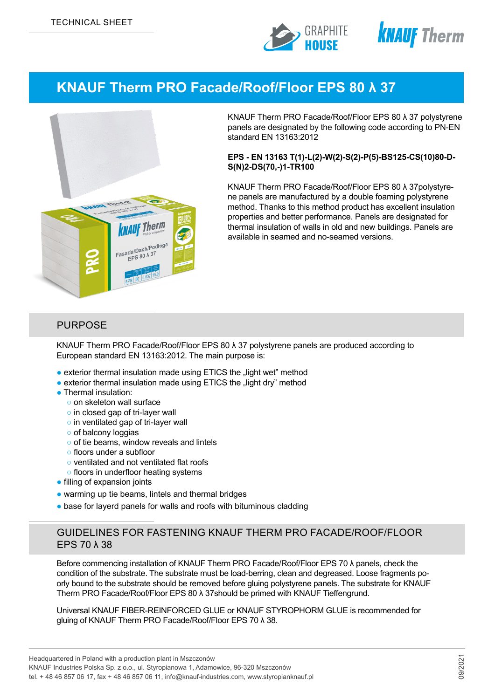



# **KNAUF Therm PRO Facade/Roof/Floor EPS 80 λ 37**



KNAUF Therm PRO Facade/Roof/Floor EPS 80 λ 37 polystyrene panels are designated by the following code according to PN-EN standard EN 13163:2012

#### **EPS - EN 13163 T(1)-L(2)-W(2)-S(2)-P(5)-BS125-CS(10)80-D-S(N)2-DS(70,-)1-TR100**

KNAUF Therm PRO Facade/Roof/Floor EPS 80 λ 37polystyrene panels are manufactured by a double foaming polystyrene method. Thanks to this method product has excellent insulation properties and better performance. Panels are designated for thermal insulation of walls in old and new buildings. Panels are available in seamed and no-seamed versions.

#### PURPOSE

KNAUF Therm PRO Facade/Roof/Floor EPS 80 λ 37 polystyrene panels are produced according to European standard EN 13163:2012. The main purpose is:

- exterior thermal insulation made using ETICS the "light wet" method
- exterior thermal insulation made using ETICS the "light dry" method
- Thermal insulation:
	- o on skeleton wall surface
	- o in closed gap of tri-layer wall
	- o in ventilated gap of tri-layer wall
	- of balcony loggias
	- of tie beams, window reveals and lintels
	- floors under a subfloor
	- ventilated and not ventilated flat roofs
	- floors in underfloor heating systems
- filling of expansion joints
- warming up tie beams, lintels and thermal bridges
- base for layerd panels for walls and roofs with bituminous cladding

## GUIDELINES FOR FASTENING KNAUF THERM PRO FACADE/ROOF/FLOOR EPS 70 λ 38

Before commencing installation of KNAUF Therm PRO Facade/Roof/Floor EPS 70 λ panels, check the condition of the substrate. The substrate must be load-berring, clean and degreased. Loose fragments poorly bound to the substrate should be removed before gluing polystyrene panels. The substrate for KNAUF Therm PRO Facade/Roof/Floor EPS 80 λ 37should be primed with KNAUF Tieffengrund.

Universal KNAUF FIBER-REINFORCED GLUE or KNAUF STYROPHORM GLUE is recommended for gluing of KNAUF Therm PRO Facade/Roof/Floor EPS 70 λ 38.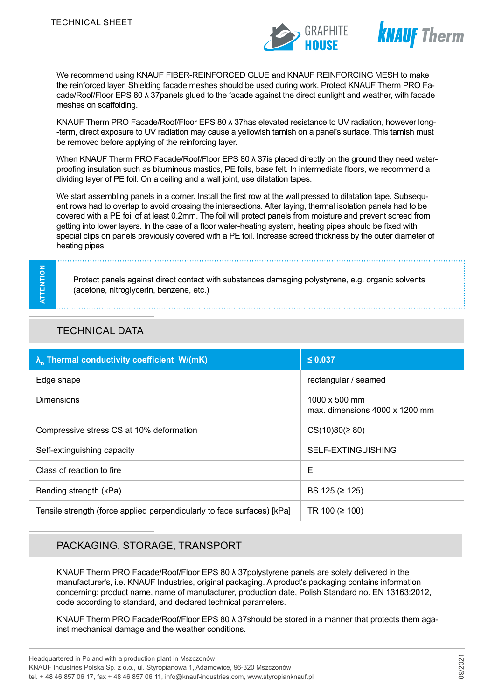



We recommend using KNAUF FIBER-REINFORCED GLUE and KNAUF REINFORCING MESH to make the reinforced layer. Shielding facade meshes should be used during work. Protect KNAUF Therm PRO Facade/Roof/Floor EPS 80 λ 37panels glued to the facade against the direct sunlight and weather, with facade meshes on scaffolding.

KNAUF Therm PRO Facade/Roof/Floor EPS 80 λ 37has elevated resistance to UV radiation, however long- -term, direct exposure to UV radiation may cause a yellowish tarnish on a panel's surface. This tarnish must be removed before applying of the reinforcing layer.

When KNAUF Therm PRO Facade/Roof/Floor EPS 80 λ 37is placed directly on the ground they need waterproofing insulation such as bituminous mastics, PE foils, base felt. In intermediate floors, we recommend a dividing layer of PE foil. On a ceiling and a wall joint, use dilatation tapes.

We start assembling panels in a corner. Install the first row at the wall pressed to dilatation tape. Subsequent rows had to overlap to avoid crossing the intersections. After laying, thermal isolation panels had to be covered with a PE foil of at least 0.2mm. The foil will protect panels from moisture and prevent screed from getting into lower layers. In the case of a floor water-heating system, heating pipes should be fixed with special clips on panels previously covered with a PE foil. Increase screed thickness by the outer diameter of heating pipes.

**ATTENTION** ATTENTION

Protect panels against direct contact with substances damaging polystyrene, e.g. organic solvents (acetone, nitroglycerin, benzene, etc.)

### TECHNICAL DATA

| $\lambda_{\rm n}$ Thermal conductivity coefficient W/(mK)               | $\leq 0.037$                                           |
|-------------------------------------------------------------------------|--------------------------------------------------------|
| Edge shape                                                              | rectangular / seamed                                   |
| <b>Dimensions</b>                                                       | 1000 x 500 mm<br>max. dimensions $4000 \times 1200$ mm |
| Compressive stress CS at 10% deformation                                | $CS(10)80 (\geq 80)$                                   |
| Self-extinguishing capacity                                             | SELF-EXTINGUISHING                                     |
| Class of reaction to fire                                               | Е                                                      |
| Bending strength (kPa)                                                  | BS 125 (≥ 125)                                         |
| Tensile strength (force applied perpendicularly to face surfaces) [kPa] | TR 100 ( $\geq$ 100)                                   |

### PACKAGING, STORAGE, TRANSPORT

KNAUF Therm PRO Facade/Roof/Floor EPS 80 λ 37polystyrene panels are solely delivered in the manufacturer's, i.e. KNAUF Industries, original packaging. A product's packaging contains information concerning: product name, name of manufacturer, production date, Polish Standard no. EN 13163:2012, code according to standard, and declared technical parameters.

KNAUF Therm PRO Facade/Roof/Floor EPS 80 λ 37should be stored in a manner that protects them against mechanical damage and the weather conditions.